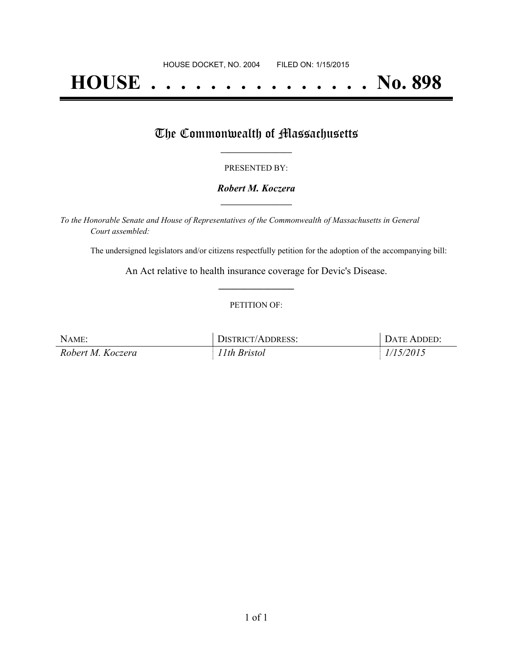# **HOUSE . . . . . . . . . . . . . . . No. 898**

## The Commonwealth of Massachusetts

#### PRESENTED BY:

#### *Robert M. Koczera* **\_\_\_\_\_\_\_\_\_\_\_\_\_\_\_\_\_**

*To the Honorable Senate and House of Representatives of the Commonwealth of Massachusetts in General Court assembled:*

The undersigned legislators and/or citizens respectfully petition for the adoption of the accompanying bill:

An Act relative to health insurance coverage for Devic's Disease. **\_\_\_\_\_\_\_\_\_\_\_\_\_\_\_**

#### PETITION OF:

| NAME:             | DISTRICT/ADDRESS: | DATE ADDED: |
|-------------------|-------------------|-------------|
| Robert M. Koczera | 11th Bristol      | 1/15/2015   |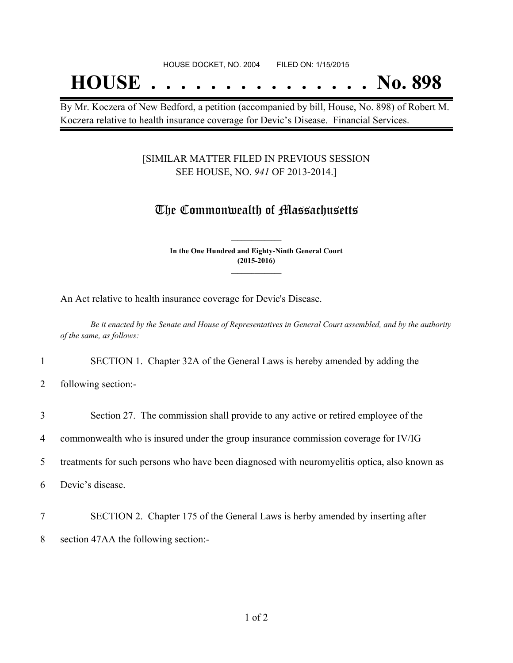## **HOUSE . . . . . . . . . . . . . . . No. 898**

By Mr. Koczera of New Bedford, a petition (accompanied by bill, House, No. 898) of Robert M. Koczera relative to health insurance coverage for Devic's Disease. Financial Services.

#### [SIMILAR MATTER FILED IN PREVIOUS SESSION SEE HOUSE, NO. *941* OF 2013-2014.]

### The Commonwealth of Massachusetts

**In the One Hundred and Eighty-Ninth General Court (2015-2016) \_\_\_\_\_\_\_\_\_\_\_\_\_\_\_**

**\_\_\_\_\_\_\_\_\_\_\_\_\_\_\_**

An Act relative to health insurance coverage for Devic's Disease.

Be it enacted by the Senate and House of Representatives in General Court assembled, and by the authority *of the same, as follows:*

1 SECTION 1. Chapter 32A of the General Laws is hereby amended by adding the

2 following section:-

3 Section 27. The commission shall provide to any active or retired employee of the

4 commonwealth who is insured under the group insurance commission coverage for IV/IG

5 treatments for such persons who have been diagnosed with neuromyelitis optica, also known as

6 Devic's disease.

7 SECTION 2. Chapter 175 of the General Laws is herby amended by inserting after 8 section 47AA the following section:-